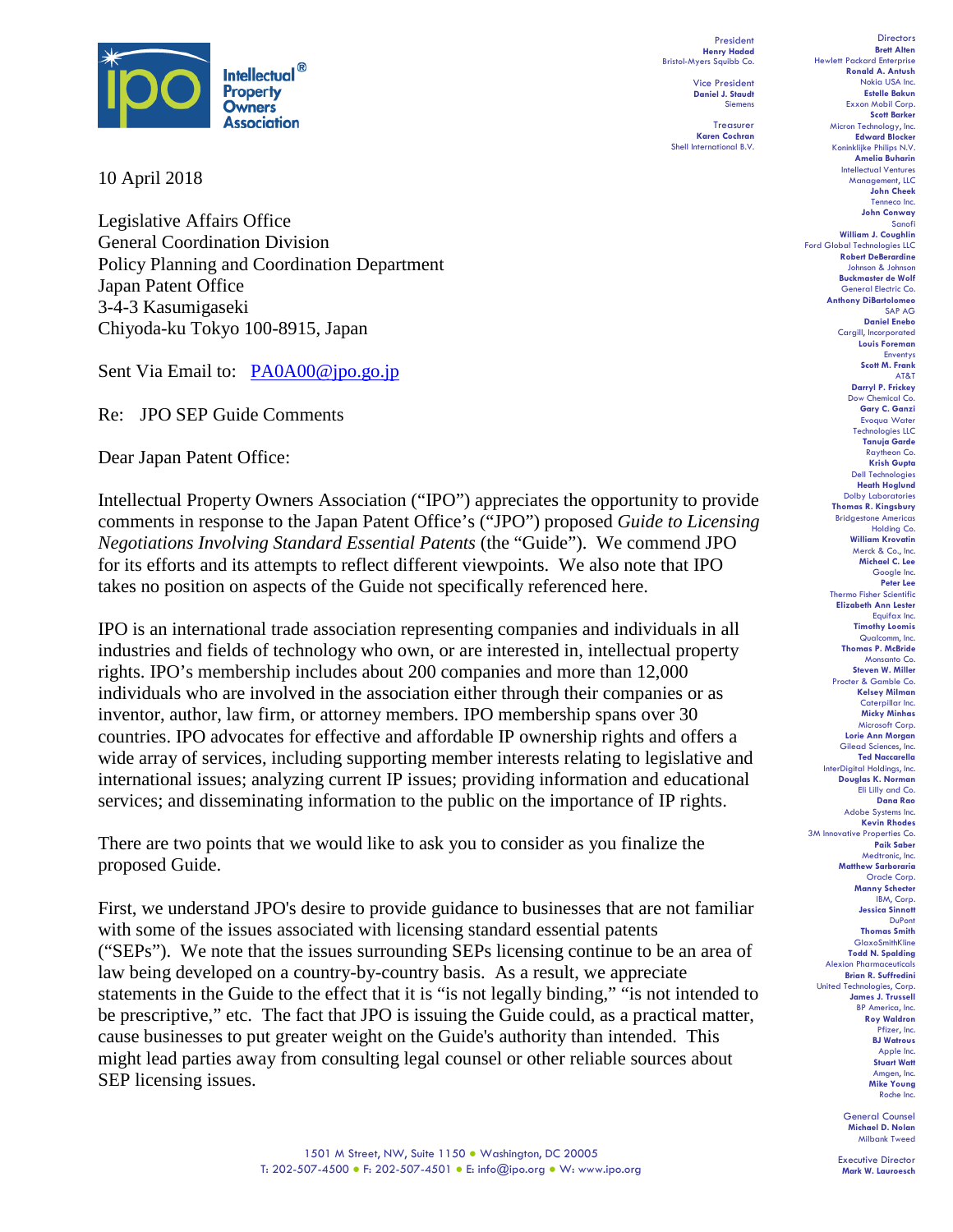

10 April 2018

Legislative Affairs Office General Coordination Division Policy Planning and Coordination Department Japan Patent Office 3-4-3 Kasumigaseki Chiyoda-ku Tokyo 100-8915, Japan

Sent Via Email to: [PA0A00@jpo.go.jp](mailto:PA0A00@jpo.go.jp)

Re: JPO SEP Guide Comments

Dear Japan Patent Office:

Intellectual Property Owners Association ("IPO") appreciates the opportunity to provide comments in response to the Japan Patent Office's ("JPO") proposed *Guide to Licensing Negotiations Involving Standard Essential Patents* (the "Guide"). We commend JPO for its efforts and its attempts to reflect different viewpoints. We also note that IPO takes no position on aspects of the Guide not specifically referenced here.

IPO is an international trade association representing companies and individuals in all industries and fields of technology who own, or are interested in, intellectual property rights. IPO's membership includes about 200 companies and more than 12,000 individuals who are involved in the association either through their companies or as inventor, author, law firm, or attorney members. IPO membership spans over 30 countries. IPO advocates for effective and affordable IP ownership rights and offers a wide array of services, including supporting member interests relating to legislative and international issues; analyzing current IP issues; providing information and educational services; and disseminating information to the public on the importance of IP rights.

There are two points that we would like to ask you to consider as you finalize the proposed Guide.

First, we understand JPO's desire to provide guidance to businesses that are not familiar with some of the issues associated with licensing standard essential patents ("SEPs"). We note that the issues surrounding SEPs licensing continue to be an area of law being developed on a country-by-country basis. As a result, we appreciate statements in the Guide to the effect that it is "is not legally binding," "is not intended to be prescriptive," etc. The fact that JPO is issuing the Guide could, as a practical matter, cause businesses to put greater weight on the Guide's authority than intended. This might lead parties away from consulting legal counsel or other reliable sources about SEP licensing issues.

President **Henry Hadad** Bristol-Myers Squibb Co.

> Vice President **Daniel J. Staudt** Siemens

**Treasurer Karen Cochran** Shell International B.V.

**Directors Brett Alten** Hewlett Packard Enterprise **Ronald A. Antush** Nokia USA Inc. **Estelle Bakun** Exxon Mobil Corp. **Scott Barker** Micron Technology, Inc. **Edward Blocker** Koninklijke Philips N.V. **Amelia Buharin** Intellectual Ventures Management, LLC **John Cheek** Tenneco Inc. **John Conway** Sanofi **William J. Coughlin** Ford Global Technologies LLC **Robert DeBerardine** Johnson & Johnson **Buckmaster de Wolf** General Electric Co. **Anthony DiBartolomeo** SAP AG **Daniel Enebo** Cargill, Incorporated **Louis Foreman** Enventys **Scott M. Frank** AT&T **Darryl P. Frickey** Dow Chemical Co. **Gary C. Ganzi** Evoqua Water Technologies LLC **Tanuja Garde** Raytheon Co. **Krish Gupta** Dell Technologies **Heath Hoglund** Dolby Laboratories **Thomas R. Kingsbury** Bridgestone Americas Holding Co. **William Krovatin** Merck & Co., Inc. **Michael C. Lee** Google Inc. **Peter Lee** Thermo Fisher Scientific **Elizabeth Ann Lester** Equifax Inc. **Timothy Loomis** Qualcomm, Inc. **Thomas P. McBride** Monsanto Co. **Steven W. Miller** Procter & Gamble Co. **Kelsey Milman** Caterpillar Inc. **Micky Minhas** Microsoft Corp. **Lorie Ann Morgan** Gilead Sciences, Inc. **Ted Naccarella** InterDigital Holdings, Inc. **Douglas K. Norman** Eli Lilly and Co. **Dana Rao** Adobe Systems Inc. **Kevin Rhodes** 3M Innovative Properties Co. **Paik Saber** Medtronic, Inc. **Matthew Sarboraria** Oracle Corp. **Manny Schecter** IBM, Corp. **Jessica Sinnott** DuPont **Thomas Smith** GlaxoSmithKline **Todd N. Spalding** Alexion Pharmaceuticals **Brian R. Suffredini** United Technologies, Corp. **James J. Trussell** BP America, Inc. **Roy Waldron** Pfizer, Inc. **BJ Watrous** Apple Inc. **Stuart Watt** Amgen, Inc. **Mike Young** Roche Inc.

> General Counsel **Michael D. Nolan** Milbank Tweed